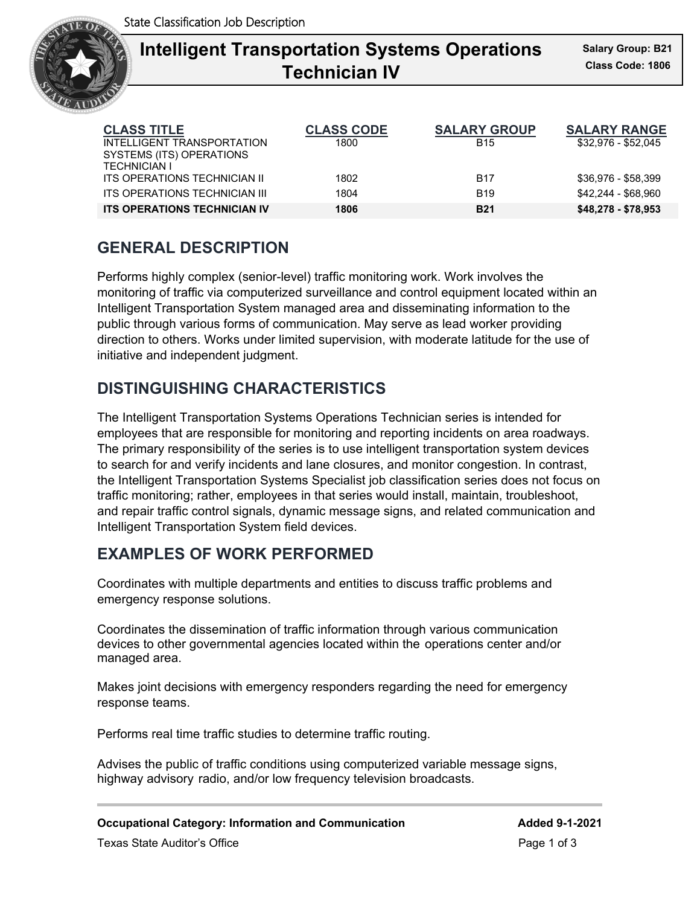

# **Intelligent Transportation Systems Operations** Sala **Technician IV**

| <b>CLASS TITLE</b>                  | <b>CLASS CODE</b> | <b>SALARY GROUP</b> | <b>SALARY RANGE</b> |
|-------------------------------------|-------------------|---------------------|---------------------|
| INTELLIGENT TRANSPORTATION          | 1800              | <b>B15</b>          | \$32,976 - \$52,045 |
| SYSTEMS (ITS) OPERATIONS            |                   |                     |                     |
| <b>TECHNICIAN I</b>                 |                   |                     |                     |
| ITS OPERATIONS TECHNICIAN II        | 1802              | <b>B17</b>          | \$36.976 - \$58.399 |
| ITS OPERATIONS TECHNICIAN III       | 1804              | <b>B19</b>          | \$42,244 - \$68,960 |
| <b>ITS OPERATIONS TECHNICIAN IV</b> | 1806              | <b>B21</b>          | \$48,278 - \$78,953 |

### **GENERAL DESCRIPTION**

Performs highly complex (senior-level) traffic monitoring work. Work involves the monitoring of traffic via computerized surveillance and control equipment located within an Intelligent Transportation System managed area and disseminating information to the public through various forms of communication. May serve as lead worker providing direction to others. Works under limited supervision, with moderate latitude for the use of initiative and independent judgment.

### **DISTINGUISHING CHARACTERISTICS**

The Intelligent Transportation Systems Operations Technician series is intended for employees that are responsible for monitoring and reporting incidents on area roadways. The primary responsibility of the series is to use intelligent transportation system devices to search for and verify incidents and lane closures, and monitor congestion. In contrast, the Intelligent Transportation Systems Specialist job classification series does not focus on traffic monitoring; rather, employees in that series would install, maintain, troubleshoot, and repair traffic control signals, dynamic message signs, and related communication and Intelligent Transportation System field devices.

## **EXAMPLES OF WORK PERFORMED**

Coordinates with multiple departments and entities to discuss traffic problems and emergency response solutions.

Coordinates the dissemination of traffic information through various communication devices to other governmental agencies located within the operations center and/or managed area.

Makes joint decisions with emergency responders regarding the need for emergency response teams.

Performs real time traffic studies to determine traffic routing.

Advises the public of traffic conditions using computerized variable message signs, highway advisory radio, and/or low frequency television broadcasts.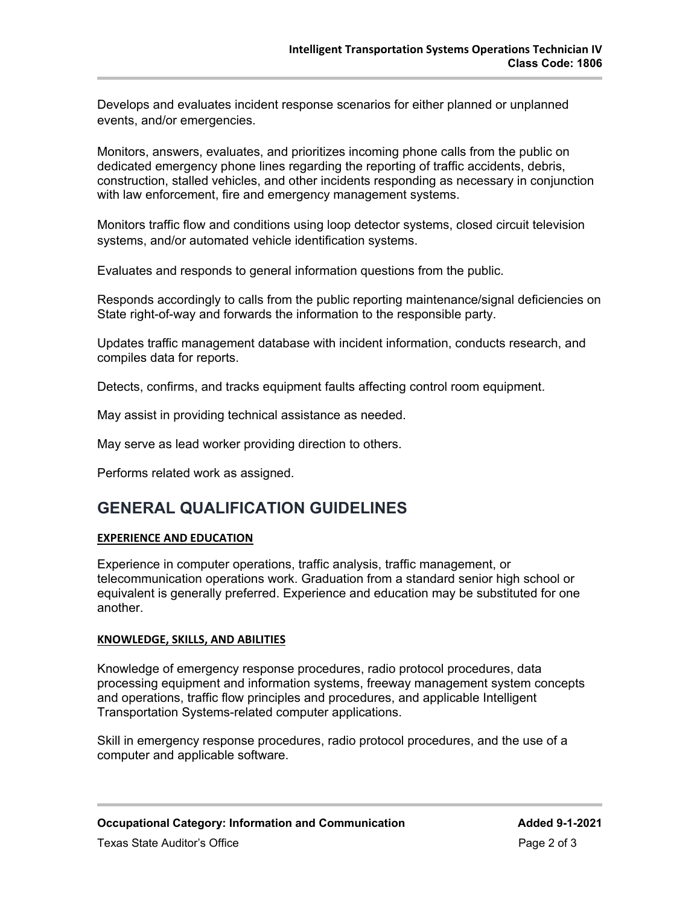Develops and evaluates incident response scenarios for either planned or unplanned events, and/or emergencies.

Monitors, answers, evaluates, and prioritizes incoming phone calls from the public on dedicated emergency phone lines regarding the reporting of traffic accidents, debris, construction, stalled vehicles, and other incidents responding as necessary in conjunction with law enforcement, fire and emergency management systems.

Monitors traffic flow and conditions using loop detector systems, closed circuit television systems, and/or automated vehicle identification systems.

Evaluates and responds to general information questions from the public.

Responds accordingly to calls from the public reporting maintenance/signal deficiencies on State right-of-way and forwards the information to the responsible party.

Updates traffic management database with incident information, conducts research, and compiles data for reports.

Detects, confirms, and tracks equipment faults affecting control room equipment.

May assist in providing technical assistance as needed.

May serve as lead worker providing direction to others.

Performs related work as assigned.

#### **GENERAL QUALIFICATION GUIDELINES**

#### **EXPERIENCE AND EDUCATION**

Experience in computer operations, traffic analysis, traffic management, or telecommunication operations work. Graduation from a standard senior high school or equivalent is generally preferred. Experience and education may be substituted for one another.

#### **KNOWLEDGE, SKILLS, AND ABILITIES**

Knowledge of emergency response procedures, radio protocol procedures, data processing equipment and information systems, freeway management system concepts and operations, traffic flow principles and procedures, and applicable Intelligent Transportation Systems-related computer applications.

Skill in emergency response procedures, radio protocol procedures, and the use of a computer and applicable software.